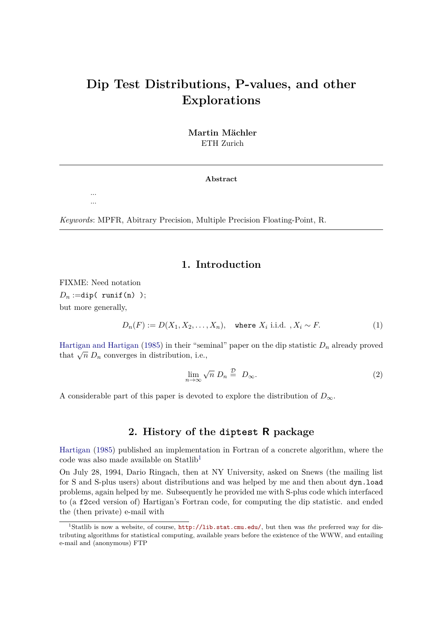# **Dip Test Distributions, P-values, and other Explorations**

**Martin Mächler** ETH Zurich

**Abstract**

*Keywords*: MPFR, Abitrary Precision, Multiple Precision Floating-Point, R.

### **1. Introduction**

FIXME: Need notation  $D_n :=$ dip( runif(n) ); but more generally,

... ...

$$
D_n(F) := D(X_1, X_2, \dots, X_n), \text{ where } X_i \text{ i.i.d. }, X_i \sim F. \tag{1}
$$

[Hartigan and Hartigan](#page-6-0) [\(1985\)](#page-6-0) in their "seminal" paper on the dip statistic *D<sup>n</sup>* already proved that  $\sqrt{n} D_n$  converges in distribution, i.e.,

<span id="page-0-1"></span>
$$
\lim_{n \to \infty} \sqrt{n} \ D_n \stackrel{\mathcal{D}}{=} D_{\infty}.
$$
 (2)

A considerable part of this paper is devoted to explore the distribution of  $D_{\infty}$ .

### **2. History of the diptest R package**

[Hartigan](#page-6-1) [\(1985\)](#page-6-1) published an implementation in Fortran of a concrete algorithm, where the code was also made available on Statlib[1](#page-0-0)

On July 28, 1994, Dario Ringach, then at NY University, asked on Snews (the mailing list for S and S-plus users) about distributions and was helped by me and then about dyn.load problems, again helped by me. Subsequently he provided me with S-plus code which interfaced to (a f2ced version of) Hartigan's Fortran code, for computing the dip statistic. and ended the (then private) e-mail with

<span id="page-0-0"></span><sup>1</sup>Statlib is now a website, of course, <http://lib.stat.cmu.edu/>, but then was *the* preferred way for distributing algorithms for statistical computing, available years before the existence of the WWW, and entailing e-mail and (anonymous) FTP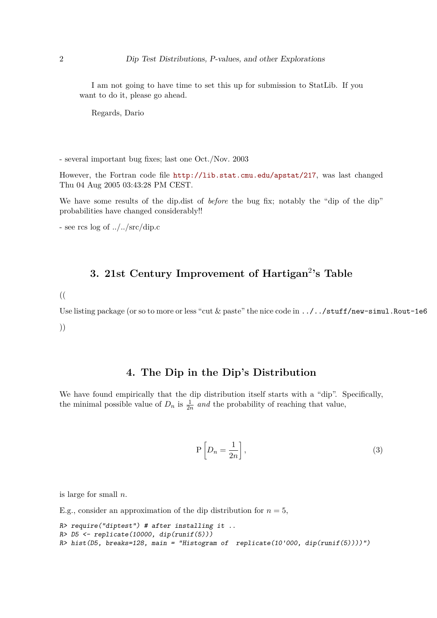I am not going to have time to set this up for submission to StatLib. If you want to do it, please go ahead.

Regards, Dario

- several important bug fixes; last one Oct./Nov. 2003

However, the Fortran code file <http://lib.stat.cmu.edu/apstat/217>, was last changed Thu 04 Aug 2005 03:43:28 PM CEST.

We have some results of the dip.dist of *before* the bug fix; notably the "dip of the dip" probabilities have changed considerably!!

- see rcs log of ../../src/dip.c

## **3. 21st Century Improvement of Hartigan**<sup>2</sup> **'s Table**

((

Use listing package (or so to more or less "cut & paste" the nice code in  $\ldots$  /../stuff/new-simul.Rout-1e6 ))

### **4. The Dip in the Dip's Distribution**

We have found empirically that the dip distribution itself starts with a "dip". Specifically, the minimal possible value of  $D_n$  is  $\frac{1}{2n}$  and the probability of reaching that value,

$$
P\left[D_n = \frac{1}{2n}\right],\tag{3}
$$

is large for small *n*.

E.g., consider an approximation of the dip distribution for  $n = 5$ ,

```
R> require("diptest") # after installing it ..
R> D5 <- replicate(10000, dip(runif(5)))
R> hist(D5, breaks=128, main = "Histogram of replicate(10'000, dip(runif(5))))")
```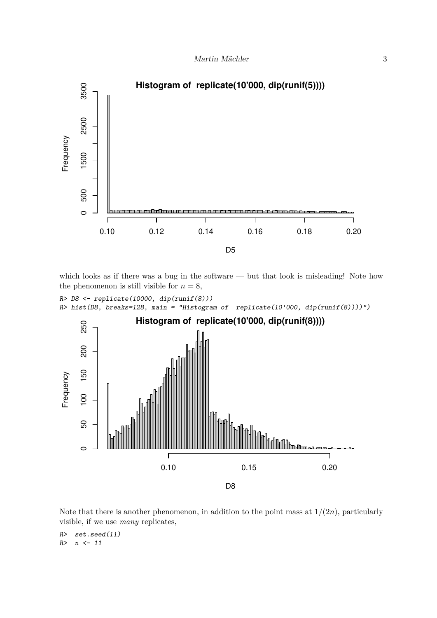

which looks as if there was a bug in the software — but that look is misleading! Note how the phenomenon is still visible for  $n = 8$ ,

```
R> D8 <- replicate(10000, dip(runif(8)))
R> hist(D8, breaks=128, main = "Histogram of replicate(10'000, dip(runif(8))))")
```


Note that there is another phenomenon, in addition to the point mass at  $1/(2n)$ , particularly visible, if we use *many* replicates,

*R> set.seed(11) R> n <- 11*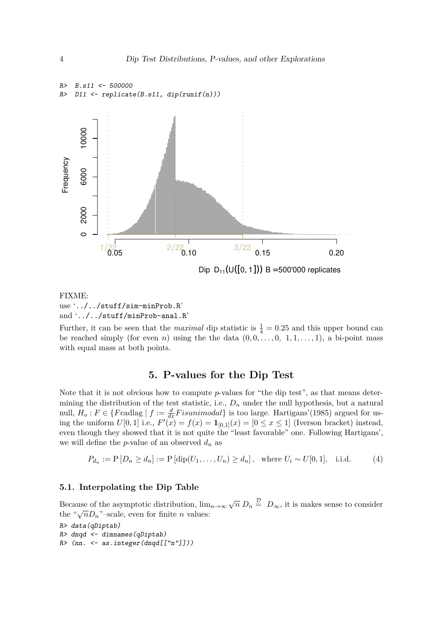

### FIXME: use '../../stuff/sim-minProb.R' and '../../stuff/minProb-anal.R'

Further, it can be seen that the *maximal* dip statistic is  $\frac{1}{4} = 0.25$  and this upper bound can be reached simply (for even *n*) using the the data  $(0,0,\ldots,0, 1,1,\ldots,1)$ , a bi-point mass with equal mass at both points.

### **5. P-values for the Dip Test**

Note that it is not obvious how to compute *p*-values for "the dip test", as that means determining the distribution of the test statistic, i.e.,  $D_n$  under the null hypothesis, but a natural null,  $H_o: F \in \{F \text{cadlag} \mid f := \frac{d}{dx}F is unimodal\}$  is too large. Hartigans'(1985) argued for using the uniform  $U[0,1]$  i.e.,  $F'(x) = f(x) = \mathbf{1}_{[0,1]}(x) = [0 \le x \le 1]$  (Iverson bracket) instead, even though they showed that it is not quite the "least favorable" one. Following Hartigans', we will define the *p*-value of an observed  $d_n$  as

$$
P_{d_n} := \mathcal{P}[D_n \ge d_n] := \mathcal{P}[\text{dip}(U_1, \dots, U_n) \ge d_n], \text{ where } U_i \sim U[0, 1], \text{ i.i.d.}
$$
 (4)

#### **5.1. Interpolating the Dip Table**

Because of the asymptotic distribution,  $\lim_{n\to\infty}\sqrt{n} D_n \stackrel{\mathcal{D}}{=} D_{\infty}$ , it is makes sense to consider the " $\sqrt{n}D_n$ "–scale, even for finite *n* values:

```
R> data(qDiptab)
R> dnqd <- dimnames(qDiptab)
R> (nn. <- as.integer(dnqd[["n"]]))
```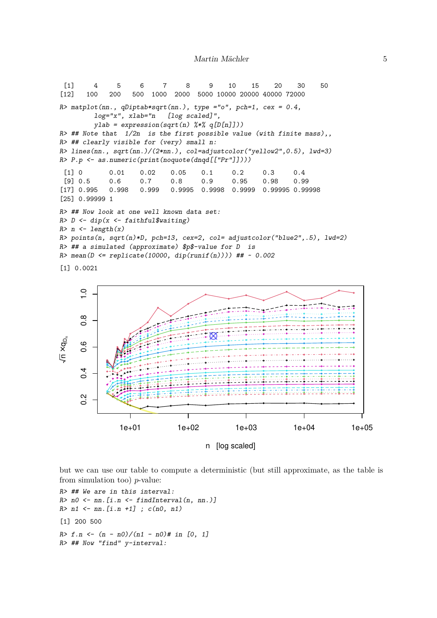```
[1] 4 5 6 7 8 9 10 15 20 30 50
[12] 100 200 500 1000 2000 5000 10000 20000 40000 72000
R> matplot(nn., qDiptab*sqrt(nn.), type ="o", pch=1, cex = 0.4,
        log="x", xlab="n [log scaled]",
        ylab = expression(sqrt(n) % * % q[D[n]]))R> ## Note that 1/2n is the first possible value (with finite mass),,
R> ## clearly visible for (very) small n:
R> lines(nn., sqrt(nn.)/(2*nn.), col=adjustcolor("yellow2",0.5), lwd=3)
R> P.p <- as.numeric(print(noquote(dnqd[["Pr"]])))
 [1] 0 0.01 0.02 0.05 0.1 0.2 0.3 0.4
 [9] 0.5 0.6 0.7 0.8 0.9 0.95 0.98 0.99
[17] 0.995 0.998 0.999 0.9995 0.9998 0.9999 0.99995 0.99998
[25] 0.99999 1
R> ## Now look at one well known data set:
R> D <- dip(x <- faithful$waiting)
R> n <- length(x)
R> points(n, sqrt(n)*D, pch=13, cex=2, col= adjustcolor("blue2",.5), lwd=2)
R> ## a simulated (approximate) $p$-value for D is
R> mean(D <= replicate(10000, dip(runif(n)))) ## ~ 0.002
[1] 0.0021
```


but we can use our table to compute a deterministic (but still approximate, as the table is from simulation too) *p*-value:

```
R> ## We are in this interval:
R> n0 <- nn.[i.n <- findInterval(n, nn.)]
R> n1 <- nn.[i.n +1] ; c(n0, n1)
[1] 200 500
R> f.n <- (n - n0)/(n1 - n0)# in [0, 1]
R> ## Now "find" y-interval:
```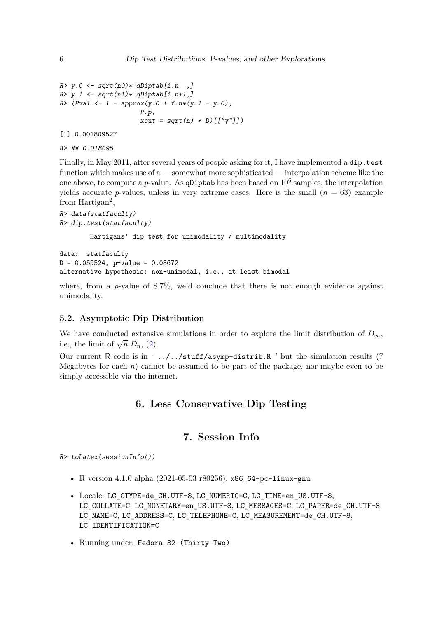```
R> y.0 <- sqrt(n0)* qDiptab[i.n ,]
R> y.1 <- sqrt(n1)* qDiptab[i.n+1,]
R> (Pval <- 1 - approx(y.0 + f.n*(y.1 - y.0),
                     P.p,
                     xout = sqrt(n) * D)[["y"]])
```
[1] 0.001809527

```
R> ## 0.018095
```
Finally, in May 2011, after several years of people asking for it, I have implemented a dip.test function which makes use of a — somewhat more sophisticated — interpolation scheme like the one above, to compute a  $p$ -value. As **qDiptab** has been based on  $10^6$  samples, the interpolation yields accurate *p*-values, unless in very extreme cases. Here is the small  $(n = 63)$  example from Hartigan<sup>2</sup>,

```
R> data(statfaculty)
R> dip.test(statfaculty)
```
Hartigans' dip test for unimodality / multimodality

```
data: statfaculty
D = 0.059524, p-value = 0.08672
alternative hypothesis: non-unimodal, i.e., at least bimodal
```
where, from a *p*-value of 8.7%, we'd conclude that there is not enough evidence against unimodality.

#### **5.2. Asymptotic Dip Distribution**

We have conducted extensive simulations in order to explore the limit distribution of  $D_{\infty}$ , i.e., the limit of  $\sqrt{n} D_n$ , [\(2\)](#page-0-1).

Our current R code is in ' ../../stuff/asymp-distrib.R ' but the simulation results (7 Megabytes for each *n*) cannot be assumed to be part of the package, nor maybe even to be simply accessible via the internet.

### **6. Less Conservative Dip Testing**

### **7. Session Info**

*R> toLatex(sessionInfo())*

- R version 4.1.0 alpha (2021-05-03 r80256), x86\_64-pc-linux-gnu
- Locale: LC CTYPE=de CH.UTF-8, LC NUMERIC=C, LC TIME=en US.UTF-8, LC\_COLLATE=C, LC\_MONETARY=en\_US.UTF-8, LC\_MESSAGES=C, LC\_PAPER=de\_CH.UTF-8, LC\_NAME=C, LC\_ADDRESS=C, LC\_TELEPHONE=C, LC\_MEASUREMENT=de\_CH.UTF-8, LC\_IDENTIFICATION=C
- Running under: Fedora 32 (Thirty Two)